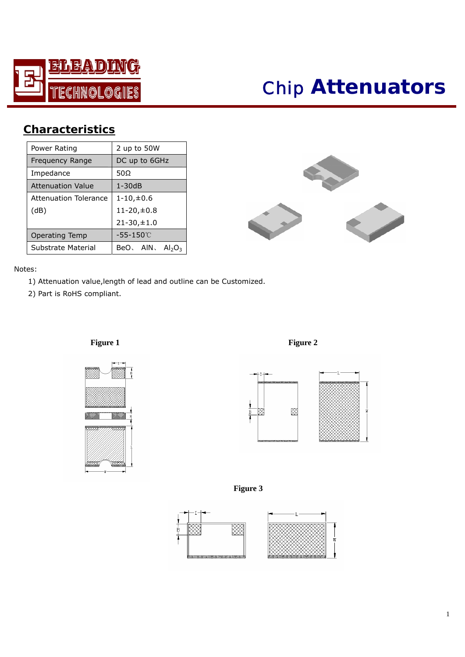

# *Chip* **Attenuators**

## **Characteristics**

| Power Rating                 | 2 up to 50W           |  |  |  |  |
|------------------------------|-----------------------|--|--|--|--|
| Frequency Range              | DC up to 6GHz         |  |  |  |  |
| Impedance                    | 50Ω                   |  |  |  |  |
| <b>Attenuation Value</b>     | $1 - 30dB$            |  |  |  |  |
| <b>Attenuation Tolerance</b> | $1 - 10, \pm 0.6$     |  |  |  |  |
| (dB)                         | $11 - 20, \pm 0.8$    |  |  |  |  |
|                              | $21 - 30, \pm 1.0$    |  |  |  |  |
| <b>Operating Temp</b>        | -55-150℃              |  |  |  |  |
| Substrate Material           | BeO、AIN、<br>$Al_2O_3$ |  |  |  |  |



#### Notes:

- 1) Attenuation value,length of lead and outline can be Customized.
- 2) Part is RoHS compliant.